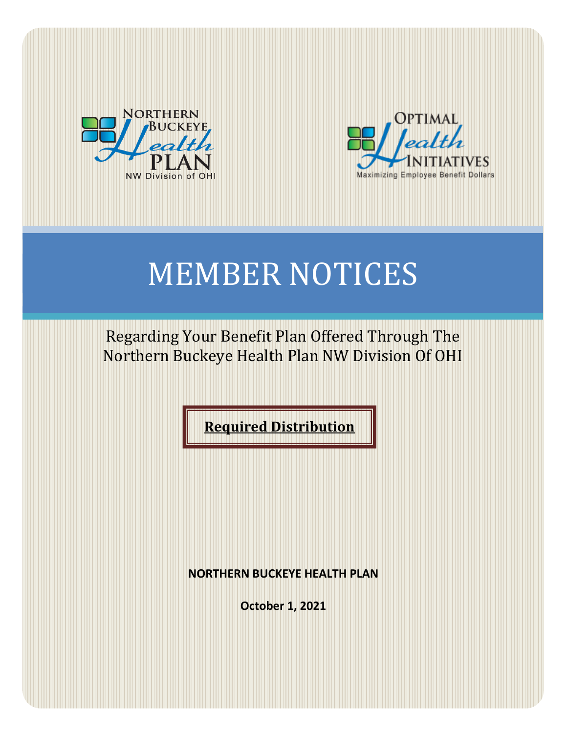



# MEMBER NOTICES

Regarding Your Benefit Plan Offered Through The Northern Buckeye Health Plan NW Division Of OHI

**Required Distribution**

**NORTHERN BUCKEYE HEALTH PLAN**

**October 1, 2021**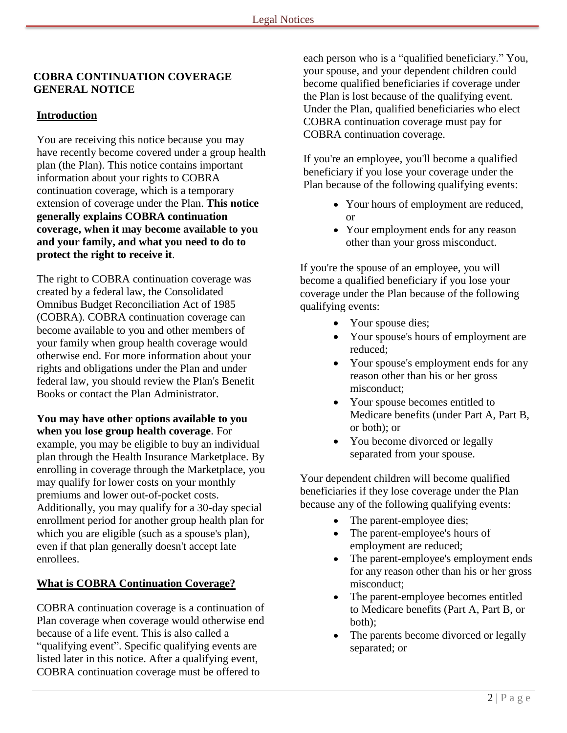#### **COBRA CONTINUATION COVERAGE GENERAL NOTICE**

# **Introduction**

You are receiving this notice because you may have recently become covered under a group health plan (the Plan). This notice contains important information about your rights to COBRA continuation coverage, which is a temporary extension of coverage under the Plan. **This notice generally explains COBRA continuation coverage, when it may become available to you and your family, and what you need to do to protect the right to receive it**.

The right to COBRA continuation coverage was created by a federal law, the Consolidated Omnibus Budget Reconciliation Act of 1985 (COBRA). COBRA continuation coverage can become available to you and other members of your family when group health coverage would otherwise end. For more information about your rights and obligations under the Plan and under federal law, you should review the Plan's Benefit Books or contact the Plan Administrator.

**You may have other options available to you when you lose group health coverage**. For example, you may be eligible to buy an individual plan through the Health Insurance Marketplace. By enrolling in coverage through the Marketplace, you may qualify for lower costs on your monthly premiums and lower out-of-pocket costs. Additionally, you may qualify for a 30-day special enrollment period for another group health plan for which you are eligible (such as a spouse's plan), even if that plan generally doesn't accept late enrollees.

# **What is COBRA Continuation Coverage?**

COBRA continuation coverage is a continuation of Plan coverage when coverage would otherwise end because of a life event. This is also called a "qualifying event". Specific qualifying events are listed later in this notice. After a qualifying event, COBRA continuation coverage must be offered to

each person who is a "qualified beneficiary." You, your spouse, and your dependent children could become qualified beneficiaries if coverage under the Plan is lost because of the qualifying event. Under the Plan, qualified beneficiaries who elect COBRA continuation coverage must pay for COBRA continuation coverage.

If you're an employee, you'll become a qualified beneficiary if you lose your coverage under the Plan because of the following qualifying events:

- Your hours of employment are reduced, or
- Your employment ends for any reason other than your gross misconduct.

If you're the spouse of an employee, you will become a qualified beneficiary if you lose your coverage under the Plan because of the following qualifying events:

- Your spouse dies;
- Your spouse's hours of employment are reduced;
- Your spouse's employment ends for any reason other than his or her gross misconduct;
- Your spouse becomes entitled to Medicare benefits (under Part A, Part B, or both); or
- You become divorced or legally separated from your spouse.

Your dependent children will become qualified beneficiaries if they lose coverage under the Plan because any of the following qualifying events:

- The parent-employee dies;
- The parent-employee's hours of employment are reduced;
- The parent-employee's employment ends for any reason other than his or her gross misconduct;
- The parent-employee becomes entitled to Medicare benefits (Part A, Part B, or both);
- The parents become divorced or legally separated; or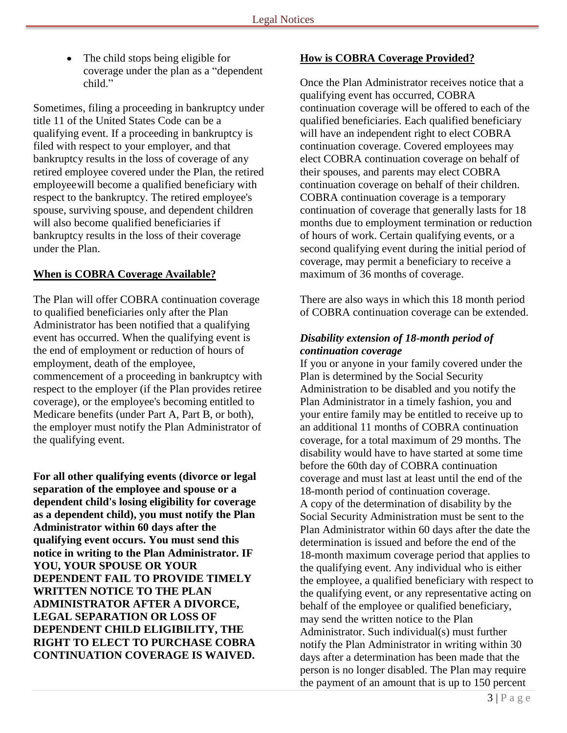The child stops being eligible for coverage under the plan as a "dependent child."

Sometimes, filing a proceeding in bankruptcy under title 11 of the United States Code can be a qualifying event. If a proceeding in bankruptcy is filed with respect to your employer, and that bankruptcy results in the loss of coverage of any retired employee covered under the Plan, the retired employeewill become a qualified beneficiary with respect to the bankruptcy. The retired employee's spouse, surviving spouse, and dependent children will also become qualified beneficiaries if bankruptcy results in the loss of their coverage under the Plan.

# **When is COBRA Coverage Available?**

The Plan will offer COBRA continuation coverage to qualified beneficiaries only after the Plan Administrator has been notified that a qualifying event has occurred. When the qualifying event is the end of employment or reduction of hours of employment, death of the employee, commencement of a proceeding in bankruptcy with respect to the employer (if the Plan provides retiree coverage), or the employee's becoming entitled to Medicare benefits (under Part A, Part B, or both), the employer must notify the Plan Administrator of the qualifying event.

**For all other qualifying events (divorce or legal separation of the employee and spouse or a dependent child's losing eligibility for coverage as a dependent child), you must notify the Plan Administrator within 60 days after the qualifying event occurs. You must send this notice in writing to the Plan Administrator. IF YOU, YOUR SPOUSE OR YOUR DEPENDENT FAIL TO PROVIDE TIMELY WRITTEN NOTICE TO THE PLAN ADMINISTRATOR AFTER A DIVORCE, LEGAL SEPARATION OR LOSS OF DEPENDENT CHILD ELIGIBILITY, THE RIGHT TO ELECT TO PURCHASE COBRA CONTINUATION COVERAGE IS WAIVED.**

## **How is COBRA Coverage Provided?**

Once the Plan Administrator receives notice that a qualifying event has occurred, COBRA continuation coverage will be offered to each of the qualified beneficiaries. Each qualified beneficiary will have an independent right to elect COBRA continuation coverage. Covered employees may elect COBRA continuation coverage on behalf of their spouses, and parents may elect COBRA continuation coverage on behalf of their children. COBRA continuation coverage is a temporary continuation of coverage that generally lasts for 18 months due to employment termination or reduction of hours of work. Certain qualifying events, or a second qualifying event during the initial period of coverage, may permit a beneficiary to receive a maximum of 36 months of coverage.

There are also ways in which this 18 month period of COBRA continuation coverage can be extended.

# *Disability extension of 18-month period of continuation coverage*

If you or anyone in your family covered under the Plan is determined by the Social Security Administration to be disabled and you notify the Plan Administrator in a timely fashion, you and your entire family may be entitled to receive up to an additional 11 months of COBRA continuation coverage, for a total maximum of 29 months. The disability would have to have started at some time before the 60th day of COBRA continuation coverage and must last at least until the end of the 18-month period of continuation coverage. A copy of the determination of disability by the Social Security Administration must be sent to the Plan Administrator within 60 days after the date the determination is issued and before the end of the 18-month maximum coverage period that applies to the qualifying event. Any individual who is either the employee, a qualified beneficiary with respect to the qualifying event, or any representative acting on behalf of the employee or qualified beneficiary, may send the written notice to the Plan Administrator. Such individual(s) must further notify the Plan Administrator in writing within 30 days after a determination has been made that the person is no longer disabled. The Plan may require the payment of an amount that is up to 150 percent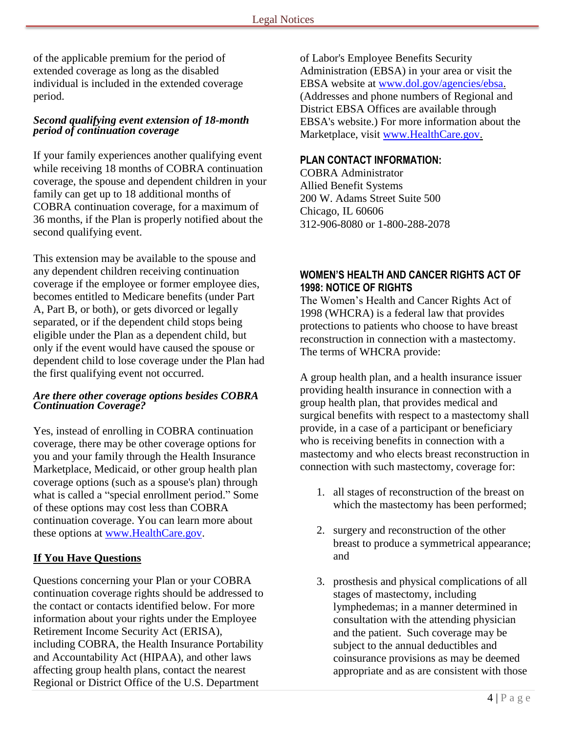of the applicable premium for the period of extended coverage as long as the disabled individual is included in the extended coverage period.

#### *Second qualifying event extension of 18-month period of continuation coverage*

If your family experiences another qualifying event while receiving 18 months of COBRA continuation coverage, the spouse and dependent children in your family can get up to 18 additional months of COBRA continuation coverage, for a maximum of 36 months, if the Plan is properly notified about the second qualifying event.

This extension may be available to the spouse and any dependent children receiving continuation coverage if the employee or former employee dies, becomes entitled to Medicare benefits (under Part A, Part B, or both), or gets divorced or legally separated, or if the dependent child stops being eligible under the Plan as a dependent child, but only if the event would have caused the spouse or dependent child to lose coverage under the Plan had the first qualifying event not occurred.

#### *Are there other coverage options besides COBRA Continuation Coverage?*

Yes, instead of enrolling in COBRA continuation coverage, there may be other coverage options for you and your family through the Health Insurance Marketplace, Medicaid, or other group health plan coverage options (such as a spouse's plan) through what is called a "special enrollment period." Some of these options may cost less than COBRA continuation coverage. You can learn more about these options at [www.HealthCare.gov.](http://www.healthcare.gov/)

# **If You Have Questions**

Questions concerning your Plan or your COBRA continuation coverage rights should be addressed to the contact or contacts identified below. For more information about your rights under the Employee Retirement Income Security Act (ERISA), including COBRA, the Health Insurance Portability and Accountability Act (HIPAA), and other laws affecting group health plans, contact the nearest Regional or District Office of the U.S. Department

of Labor's Employee Benefits Security Administration (EBSA) in your area or visit the EBSA website at [www.dol.gov/agencies/ebsa.](http://www.dol.gov/agencies/ebsa) (Addresses and phone numbers of Regional and District EBSA Offices are available through EBSA's website.) For more information about the Marketplace, visit [www.HealthCare.gov.](http://www.healthcare.gov/)

## **PLAN CONTACT INFORMATION:**

COBRA Administrator Allied Benefit Systems 200 W. Adams Street Suite 500 Chicago, IL 60606 312-906-8080 or 1-800-288-2078

# **WOMEN'S HEALTH AND CANCER RIGHTS ACT OF 1998: NOTICE OF RIGHTS**

The Women's Health and Cancer Rights Act of 1998 (WHCRA) is a federal law that provides protections to patients who choose to have breast reconstruction in connection with a mastectomy. The terms of WHCRA provide:

A group health plan, and a health insurance issuer providing health insurance in connection with a group health plan, that provides medical and surgical benefits with respect to a mastectomy shall provide, in a case of a participant or beneficiary who is receiving benefits in connection with a mastectomy and who elects breast reconstruction in connection with such mastectomy, coverage for:

- 1. all stages of reconstruction of the breast on which the mastectomy has been performed;
- 2. surgery and reconstruction of the other breast to produce a symmetrical appearance; and
- 3. prosthesis and physical complications of all stages of mastectomy, including lymphedemas; in a manner determined in consultation with the attending physician and the patient. Such coverage may be subject to the annual deductibles and coinsurance provisions as may be deemed appropriate and as are consistent with those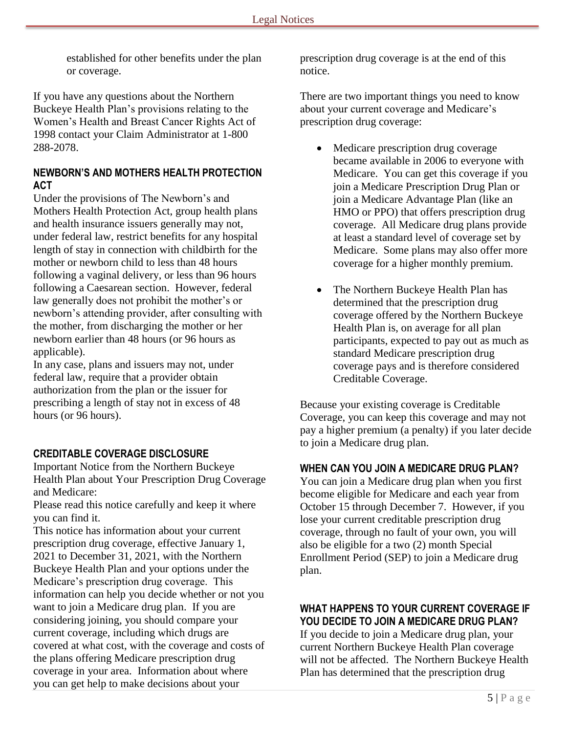established for other benefits under the plan or coverage.

If you have any questions about the Northern Buckeye Health Plan's provisions relating to the Women's Health and Breast Cancer Rights Act of 1998 contact your Claim Administrator at 1-800 288-2078.

# **NEWBORN'S AND MOTHERS HEALTH PROTECTION ACT**

Under the provisions of The Newborn's and Mothers Health Protection Act, group health plans and health insurance issuers generally may not, under federal law, restrict benefits for any hospital length of stay in connection with childbirth for the mother or newborn child to less than 48 hours following a vaginal delivery, or less than 96 hours following a Caesarean section. However, federal law generally does not prohibit the mother's or newborn's attending provider, after consulting with the mother, from discharging the mother or her newborn earlier than 48 hours (or 96 hours as applicable).

In any case, plans and issuers may not, under federal law, require that a provider obtain authorization from the plan or the issuer for prescribing a length of stay not in excess of 48 hours (or 96 hours).

## **CREDITABLE COVERAGE DISCLOSURE**

Important Notice from the Northern Buckeye Health Plan about Your Prescription Drug Coverage and Medicare:

Please read this notice carefully and keep it where you can find it.

This notice has information about your current prescription drug coverage, effective January 1, 2021 to December 31, 2021, with the Northern Buckeye Health Plan and your options under the Medicare's prescription drug coverage. This information can help you decide whether or not you want to join a Medicare drug plan. If you are considering joining, you should compare your current coverage, including which drugs are covered at what cost, with the coverage and costs of the plans offering Medicare prescription drug coverage in your area. Information about where you can get help to make decisions about your

prescription drug coverage is at the end of this notice.

There are two important things you need to know about your current coverage and Medicare's prescription drug coverage:

- Medicare prescription drug coverage became available in 2006 to everyone with Medicare. You can get this coverage if you join a Medicare Prescription Drug Plan or join a Medicare Advantage Plan (like an HMO or PPO) that offers prescription drug coverage. All Medicare drug plans provide at least a standard level of coverage set by Medicare. Some plans may also offer more coverage for a higher monthly premium.
- The Northern Buckeye Health Plan has determined that the prescription drug coverage offered by the Northern Buckeye Health Plan is, on average for all plan participants, expected to pay out as much as standard Medicare prescription drug coverage pays and is therefore considered Creditable Coverage.

Because your existing coverage is Creditable Coverage, you can keep this coverage and may not pay a higher premium (a penalty) if you later decide to join a Medicare drug plan.

#### **WHEN CAN YOU JOIN A MEDICARE DRUG PLAN?**

You can join a Medicare drug plan when you first become eligible for Medicare and each year from October 15 through December 7. However, if you lose your current creditable prescription drug coverage, through no fault of your own, you will also be eligible for a two (2) month Special Enrollment Period (SEP) to join a Medicare drug plan.

# **WHAT HAPPENS TO YOUR CURRENT COVERAGE IF YOU DECIDE TO JOIN A MEDICARE DRUG PLAN?**

If you decide to join a Medicare drug plan, your current Northern Buckeye Health Plan coverage will not be affected. The Northern Buckeye Health Plan has determined that the prescription drug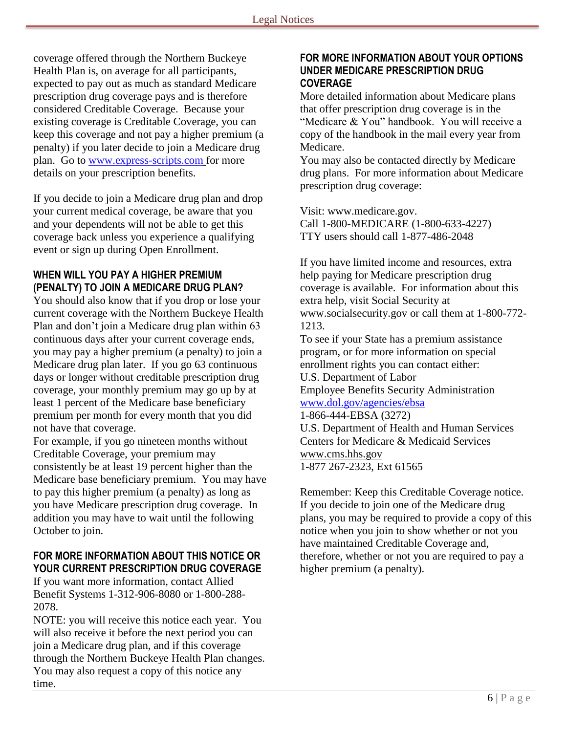coverage offered through the Northern Buckeye Health Plan is, on average for all participants, expected to pay out as much as standard Medicare prescription drug coverage pays and is therefore considered Creditable Coverage. Because your existing coverage is Creditable Coverage, you can keep this coverage and not pay a higher premium (a penalty) if you later decide to join a Medicare drug plan. Go to [www.express-scripts.com](http://www.express-scripts.com/) for more details on your prescription benefits.

If you decide to join a Medicare drug plan and drop your current medical coverage, be aware that you and your dependents will not be able to get this coverage back unless you experience a qualifying event or sign up during Open Enrollment.

# **WHEN WILL YOU PAY A HIGHER PREMIUM (PENALTY) TO JOIN A MEDICARE DRUG PLAN?**

You should also know that if you drop or lose your current coverage with the Northern Buckeye Health Plan and don't join a Medicare drug plan within 63 continuous days after your current coverage ends, you may pay a higher premium (a penalty) to join a Medicare drug plan later. If you go 63 continuous days or longer without creditable prescription drug coverage, your monthly premium may go up by at least 1 percent of the Medicare base beneficiary premium per month for every month that you did not have that coverage.

For example, if you go nineteen months without Creditable Coverage, your premium may consistently be at least 19 percent higher than the Medicare base beneficiary premium. You may have to pay this higher premium (a penalty) as long as you have Medicare prescription drug coverage. In addition you may have to wait until the following October to join.

## **FOR MORE INFORMATION ABOUT THIS NOTICE OR YOUR CURRENT PRESCRIPTION DRUG COVERAGE**

If you want more information, contact Allied Benefit Systems 1-312-906-8080 or 1-800-288- 2078.

NOTE: you will receive this notice each year. You will also receive it before the next period you can join a Medicare drug plan, and if this coverage through the Northern Buckeye Health Plan changes. You may also request a copy of this notice any time.

## **FOR MORE INFORMATION ABOUT YOUR OPTIONS UNDER MEDICARE PRESCRIPTION DRUG COVERAGE**

More detailed information about Medicare plans that offer prescription drug coverage is in the "Medicare & You" handbook. You will receive a copy of the handbook in the mail every year from Medicare.

You may also be contacted directly by Medicare drug plans. For more information about Medicare prescription drug coverage:

Visit: www.medicare.gov. Call 1-800-MEDICARE (1-800-633-4227) TTY users should call 1-877-486-2048

If you have limited income and resources, extra help paying for Medicare prescription drug coverage is available. For information about this extra help, visit Social Security at www.socialsecurity.gov or call them at 1-800-772- 1213.

To see if your State has a premium assistance program, or for more information on special enrollment rights you can contact either: U.S. Department of Labor Employee Benefits Security Administration [www.dol.gov/agencies/ebsa](http://www.dol.gov/agencies/ebsa) 1-866-444-EBSA (3272)

U.S. Department of Health and Human Services Centers for Medicare & Medicaid Services [www.cms.hhs.gov](http://www.cms.hhs.gov/) 1-877 267-2323, Ext 61565

Remember: Keep this Creditable Coverage notice. If you decide to join one of the Medicare drug plans, you may be required to provide a copy of this notice when you join to show whether or not you have maintained Creditable Coverage and, therefore, whether or not you are required to pay a higher premium (a penalty).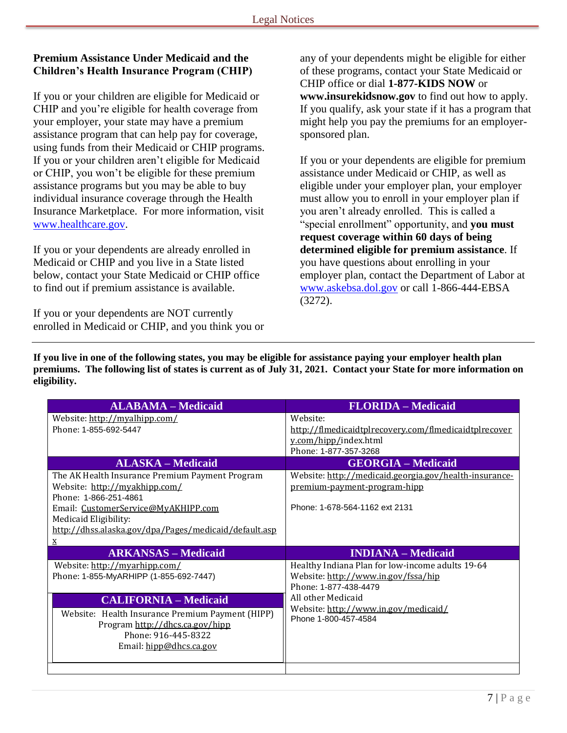# **Premium Assistance Under Medicaid and the Children's Health Insurance Program (CHIP)**

If you or your children are eligible for Medicaid or CHIP and you're eligible for health coverage from your employer, your state may have a premium assistance program that can help pay for coverage, using funds from their Medicaid or CHIP programs. If you or your children aren't eligible for Medicaid or CHIP, you won't be eligible for these premium assistance programs but you may be able to buy individual insurance coverage through the Health Insurance Marketplace. For more information, visit [www.healthcare.gov.](http://www.healthcare.gov/)

If you or your dependents are already enrolled in Medicaid or CHIP and you live in a State listed below, contact your State Medicaid or CHIP office to find out if premium assistance is available.

If you or your dependents are NOT currently enrolled in Medicaid or CHIP, and you think you or any of your dependents might be eligible for either of these programs, contact your State Medicaid or CHIP office or dial **1-877-KIDS NOW** or **www.insurekidsnow.gov** to find out how to apply. If you qualify, ask your state if it has a program that might help you pay the premiums for an employersponsored plan.

If you or your dependents are eligible for premium assistance under Medicaid or CHIP, as well as eligible under your employer plan, your employer must allow you to enroll in your employer plan if you aren't already enrolled. This is called a "special enrollment" opportunity, and **you must request coverage within 60 days of being determined eligible for premium assistance**. If you have questions about enrolling in your employer plan, contact the Department of Labor at [www.askebsa.dol.gov](http://www.askebsa.dol.gov/) or call 1-866-444-EBSA (3272).

**If you live in one of the following states, you may be eligible for assistance paying your employer health plan premiums. The following list of states is current as of July 31, 2021. Contact your State for more information on eligibility.**

| <b>ALABAMA - Medicaid</b>                                                                                                                                                                                                                                           | <b>FLORIDA - Medicaid</b>                                                                                                                             |
|---------------------------------------------------------------------------------------------------------------------------------------------------------------------------------------------------------------------------------------------------------------------|-------------------------------------------------------------------------------------------------------------------------------------------------------|
| Website: http://myalhipp.com/<br>Phone: 1-855-692-5447                                                                                                                                                                                                              | Website:<br>http://flmedicaidtplrecovery.com/flmedicaidtplrecover<br>y.com/hipp/index.html                                                            |
|                                                                                                                                                                                                                                                                     | Phone: 1-877-357-3268                                                                                                                                 |
| <b>ALASKA – Medicaid</b><br>The AK Health Insurance Premium Payment Program<br>Website: http://myakhipp.com/<br>Phone: 1-866-251-4861<br>Email: CustomerService@MyAKHIPP.com<br>Medicaid Eligibility:<br>http://dhss.alaska.gov/dpa/Pages/medicaid/default.asp<br>X | <b>GEORGIA - Medicaid</b><br>Website: http://medicaid.georgia.gov/health-insurance-<br>premium-payment-program-hipp<br>Phone: 1-678-564-1162 ext 2131 |
| <b>ARKANSAS – Medicaid</b>                                                                                                                                                                                                                                          | <b>INDIANA</b> – Medicaid                                                                                                                             |
| Website: http://myarhipp.com/<br>Phone: 1-855-MyARHIPP (1-855-692-7447)                                                                                                                                                                                             | Healthy Indiana Plan for low-income adults 19-64<br>Website: http://www.in.gov/fssa/hip<br>Phone: 1-877-438-4479                                      |
| <b>CALIFORNIA - Medicaid</b><br>Website: Health Insurance Premium Payment (HIPP)<br>Program http://dhcs.ca.gov/hipp<br>Phone: 916-445-8322<br>Email: hipp@dhcs.ca.gov                                                                                               | All other Medicaid<br>Website: http://www.in.gov/medicaid/<br>Phone 1-800-457-4584                                                                    |
|                                                                                                                                                                                                                                                                     |                                                                                                                                                       |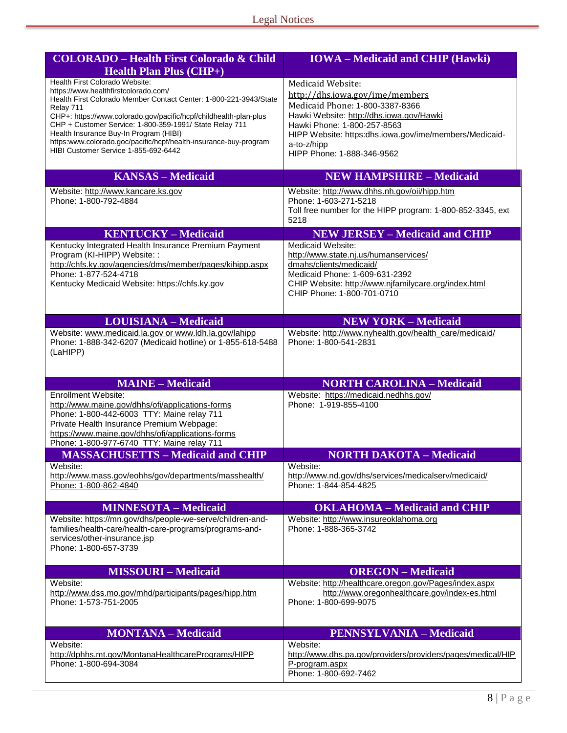| <b>COLORADO – Health First Colorado &amp; Child</b>                                                                                                                                                                                                                                                                                                                                                                                            | <b>IOWA</b> – Medicaid and CHIP (Hawki)                                                                                                                                                                                                                                   |
|------------------------------------------------------------------------------------------------------------------------------------------------------------------------------------------------------------------------------------------------------------------------------------------------------------------------------------------------------------------------------------------------------------------------------------------------|---------------------------------------------------------------------------------------------------------------------------------------------------------------------------------------------------------------------------------------------------------------------------|
| <b>Health Plan Plus (CHP+)</b>                                                                                                                                                                                                                                                                                                                                                                                                                 |                                                                                                                                                                                                                                                                           |
| Health First Colorado Website:<br>https://www.healthfirstcolorado.com/<br>Health First Colorado Member Contact Center: 1-800-221-3943/State<br>Relay 711<br>CHP+: https://www.colorado.gov/pacific/hcpf/childhealth-plan-plus<br>CHP + Customer Service: 1-800-359-1991/ State Relay 711<br>Health Insurance Buy-In Program (HIBI)<br>https:www.colorado.goc/pacific/hcpf/health-insurance-buy-program<br>HIBI Customer Service 1-855-692-6442 | Medicaid Website:<br>http://dhs.iowa.gov/ime/members<br>Medicaid Phone: 1-800-3387-8366<br>Hawki Website: http://dhs.iowa.gov/Hawki<br>Hawki Phone: 1-800-257-8563<br>HIPP Website: https:dhs.iowa.gov/ime/members/Medicaid-<br>a-to-z/hipp<br>HIPP Phone: 1-888-346-9562 |
| <b>KANSAS</b> - Medicaid                                                                                                                                                                                                                                                                                                                                                                                                                       | <b>NEW HAMPSHIRE - Medicaid</b>                                                                                                                                                                                                                                           |
| Website: http://www.kancare.ks.gov<br>Phone: 1-800-792-4884                                                                                                                                                                                                                                                                                                                                                                                    | Website: http://www.dhhs.nh.gov/oii/hipp.htm<br>Phone: 1-603-271-5218<br>Toll free number for the HIPP program: 1-800-852-3345, ext<br>5218                                                                                                                               |
| <b>KENTUCKY - Medicaid</b>                                                                                                                                                                                                                                                                                                                                                                                                                     | <b>NEW JERSEY - Medicaid and CHIP</b>                                                                                                                                                                                                                                     |
| Kentucky Integrated Health Insurance Premium Payment<br>Program (KI-HIPP) Website: :<br>http://chfs.ky.gov/agencies/dms/member/pages/kihipp.aspx<br>Phone: 1-877-524-4718<br>Kentucky Medicaid Website: https://chfs.ky.gov                                                                                                                                                                                                                    | Medicaid Website:<br>http://www.state.nj.us/humanservices/<br>dmahs/clients/medicaid/<br>Medicaid Phone: 1-609-631-2392<br>CHIP Website: http://www.njfamilycare.org/index.html<br>CHIP Phone: 1-800-701-0710                                                             |
| <b>LOUISIANA - Medicaid</b>                                                                                                                                                                                                                                                                                                                                                                                                                    | <b>NEW YORK - Medicaid</b>                                                                                                                                                                                                                                                |
| Website: www.medicaid.la.gov or www.ldh.la.gov/lahipp<br>Phone: 1-888-342-6207 (Medicaid hotline) or 1-855-618-5488<br>(LaHIPP)                                                                                                                                                                                                                                                                                                                | Website: http://www.nyhealth.gov/health_care/medicaid/<br>Phone: 1-800-541-2831                                                                                                                                                                                           |
| <b>MAINE - Medicaid</b>                                                                                                                                                                                                                                                                                                                                                                                                                        | <b>NORTH CAROLINA - Medicaid</b>                                                                                                                                                                                                                                          |
| Enrollment Website:<br>http://www.maine.gov/dhhs/ofi/applications-forms<br>Phone: 1-800-442-6003 TTY: Maine relay 711<br>Private Health Insurance Premium Webpage:<br>https://www.maine.gov/dhhs/ofi/applications-forms<br>Phone: 1-800-977-6740 TTY: Maine relay 711                                                                                                                                                                          | Website: https://medicaid.nedhhs.gov/<br>Phone: 1-919-855-4100                                                                                                                                                                                                            |
| <b>MASSACHUSETTS - Medicaid and CHIP</b>                                                                                                                                                                                                                                                                                                                                                                                                       | <b>NORTH DAKOTA - Medicaid</b>                                                                                                                                                                                                                                            |
| Website:<br>http://www.mass.gov/eohhs/gov/departments/masshealth/<br>Phone: 1-800-862-4840                                                                                                                                                                                                                                                                                                                                                     | Website:<br>http://www.nd.gov/dhs/services/medicalserv/medicaid/<br>Phone: 1-844-854-4825                                                                                                                                                                                 |
| <b>MINNESOTA - Medicaid</b>                                                                                                                                                                                                                                                                                                                                                                                                                    | <b>OKLAHOMA</b> – Medicaid and CHIP                                                                                                                                                                                                                                       |
| Website: https://mn.gov/dhs/people-we-serve/children-and-<br>families/health-care/health-care-programs/programs-and-<br>services/other-insurance.jsp<br>Phone: 1-800-657-3739                                                                                                                                                                                                                                                                  | Website: http://www.insureoklahoma.org<br>Phone: 1-888-365-3742                                                                                                                                                                                                           |
| <b>MISSOURI-Medicaid</b>                                                                                                                                                                                                                                                                                                                                                                                                                       | <b>OREGON</b> - Medicaid                                                                                                                                                                                                                                                  |
| Website:<br>http://www.dss.mo.gov/mhd/participants/pages/hipp.htm<br>Phone: 1-573-751-2005                                                                                                                                                                                                                                                                                                                                                     | Website: http://healthcare.oregon.gov/Pages/index.aspx<br>http://www.oregonhealthcare.gov/index-es.html<br>Phone: 1-800-699-9075                                                                                                                                          |
| <b>MONTANA - Medicaid</b>                                                                                                                                                                                                                                                                                                                                                                                                                      | <b>PENNSYLVANIA - Medicaid</b>                                                                                                                                                                                                                                            |
| Website:<br>http://dphhs.mt.gov/MontanaHealthcarePrograms/HIPP<br>Phone: 1-800-694-3084                                                                                                                                                                                                                                                                                                                                                        | Website:<br>http://www.dhs.pa.gov/providers/providers/pages/medical/HIP<br>P-program.aspx<br>Phone: 1-800-692-7462                                                                                                                                                        |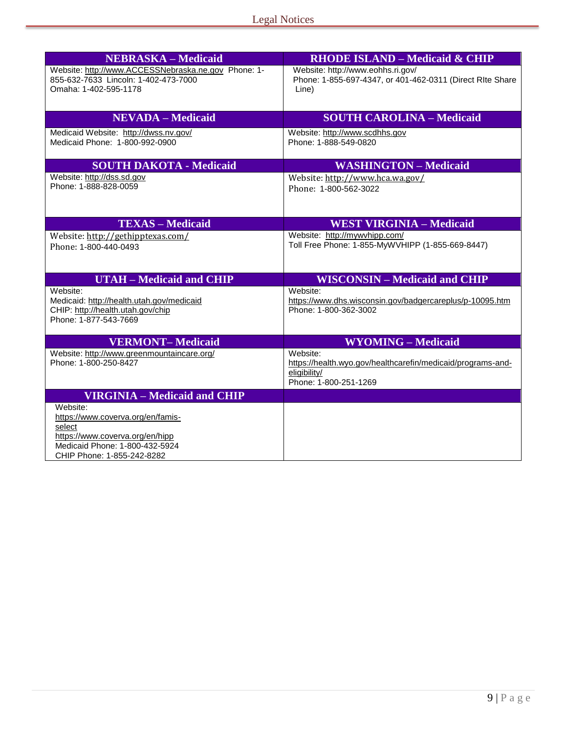| <b>NEBRASKA - Medicaid</b>                                                                                                                                 | <b>RHODE ISLAND - Medicaid &amp; CHIP</b>                                                                                             |
|------------------------------------------------------------------------------------------------------------------------------------------------------------|---------------------------------------------------------------------------------------------------------------------------------------|
| Website: http://www.ACCESSNebraska.ne.gov Phone: 1-<br>855-632-7633 Lincoln: 1-402-473-7000<br>Omaha: 1-402-595-1178                                       | Website: http://www.eohhs.ri.gov/<br>Phone: 1-855-697-4347, or 401-462-0311 (Direct RIte Share<br>Line)                               |
| <b>NEVADA - Medicaid</b>                                                                                                                                   | <b>SOUTH CAROLINA - Medicaid</b>                                                                                                      |
| Medicaid Website: http://dwss.nv.gov/<br>Medicaid Phone: 1-800-992-0900                                                                                    | Website: http://www.scdhhs.gov<br>Phone: 1-888-549-0820                                                                               |
| <b>SOUTH DAKOTA - Medicaid</b>                                                                                                                             | <b>WASHINGTON - Medicaid</b>                                                                                                          |
| Website: http://dss.sd.gov<br>Phone: 1-888-828-0059                                                                                                        | Website: http://www.hca.wa.gov/<br>Phone: 1-800-562-3022                                                                              |
| <b>TEXAS - Medicaid</b>                                                                                                                                    | <b>WEST VIRGINIA - Medicaid</b>                                                                                                       |
| Website: http://gethipptexas.com/<br>Phone: 1-800-440-0493                                                                                                 | Website: http://mywvhipp.com/<br>Toll Free Phone: 1-855-MyWVHIPP (1-855-669-8447)                                                     |
| <b>UTAH - Medicaid and CHIP</b>                                                                                                                            | <b>WISCONSIN - Medicaid and CHIP</b>                                                                                                  |
| Website:<br>Medicaid: http://health.utah.gov/medicaid<br>CHIP: http://health.utah.gov/chip<br>Phone: 1-877-543-7669                                        | Website:<br>https://www.dhs.wisconsin.gov/badgercareplus/p-10095.htm<br>Phone: 1-800-362-3002                                         |
| <b>VERMONT-Medicaid</b>                                                                                                                                    | <b>WYOMING - Medicaid</b>                                                                                                             |
| Website: http://www.greenmountaincare.org/<br>Phone: 1-800-250-8427                                                                                        | $\overline{\text{We}}$ bsite:<br>https://health.wyo.gov/healthcarefin/medicaid/programs-and-<br>eligibility/<br>Phone: 1-800-251-1269 |
| <b>VIRGINIA - Medicaid and CHIP</b>                                                                                                                        |                                                                                                                                       |
| Website:<br>https://www.coverva.org/en/famis-<br>select<br>https://www.coverva.org/en/hipp<br>Medicaid Phone: 1-800-432-5924<br>CHIP Phone: 1-855-242-8282 |                                                                                                                                       |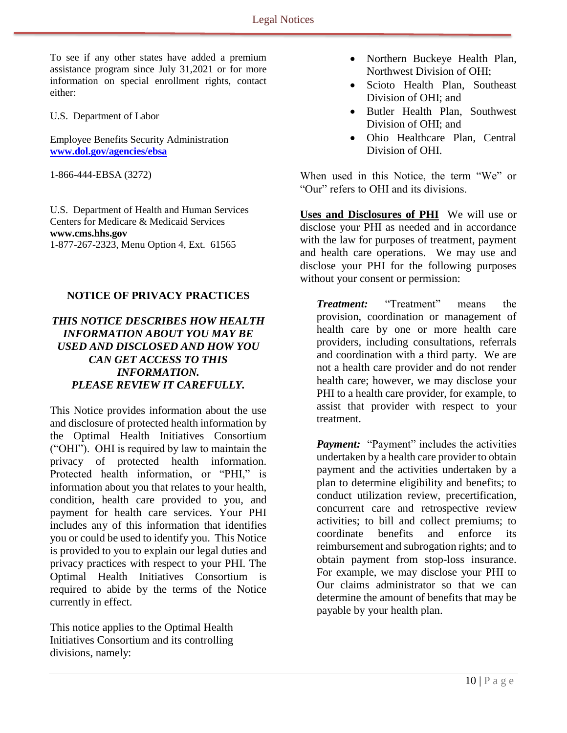To see if any other states have added a premium assistance program since July 31,2021 or for more information on special enrollment rights, contact either:

U.S. Department of Labor

Employee Benefits Security Administration **[www.dol.gov/agencies/ebsa](http://www.dol.gov/agencies/ebsa)**

1-866-444-EBSA (3272)

U.S. Department of Health and Human Services Centers for Medicare & Medicaid Services **[www.cms.hhs.gov](http://www.cms.hhs.gov/)** 1-877-267-2323, Menu Option 4, Ext. 61565

#### **NOTICE OF PRIVACY PRACTICES**

## *THIS NOTICE DESCRIBES HOW HEALTH INFORMATION ABOUT YOU MAY BE USED AND DISCLOSED AND HOW YOU CAN GET ACCESS TO THIS INFORMATION. PLEASE REVIEW IT CAREFULLY.*

This Notice provides information about the use and disclosure of protected health information by the Optimal Health Initiatives Consortium ("OHI"). OHI is required by law to maintain the privacy of protected health information. Protected health information, or "PHI," is information about you that relates to your health, condition, health care provided to you, and payment for health care services. Your PHI includes any of this information that identifies you or could be used to identify you. This Notice is provided to you to explain our legal duties and privacy practices with respect to your PHI. The Optimal Health Initiatives Consortium is required to abide by the terms of the Notice currently in effect.

This notice applies to the Optimal Health Initiatives Consortium and its controlling divisions, namely:

- Northern Buckeye Health Plan, Northwest Division of OHI;
- Scioto Health Plan, Southeast Division of OHI; and
- Butler Health Plan, Southwest Division of OHI; and
- Ohio Healthcare Plan, Central Division of OHI.

When used in this Notice, the term "We" or "Our" refers to OHI and its divisions.

**Uses and Disclosures of PHI** We will use or disclose your PHI as needed and in accordance with the law for purposes of treatment, payment and health care operations. We may use and disclose your PHI for the following purposes without your consent or permission:

*Treatment:* "Treatment" means the provision, coordination or management of health care by one or more health care providers, including consultations, referrals and coordination with a third party. We are not a health care provider and do not render health care; however, we may disclose your PHI to a health care provider, for example, to assist that provider with respect to your treatment.

*Payment:* "Payment" includes the activities undertaken by a health care provider to obtain payment and the activities undertaken by a plan to determine eligibility and benefits; to conduct utilization review, precertification, concurrent care and retrospective review activities; to bill and collect premiums; to coordinate benefits and enforce its reimbursement and subrogation rights; and to obtain payment from stop-loss insurance. For example, we may disclose your PHI to Our claims administrator so that we can determine the amount of benefits that may be payable by your health plan.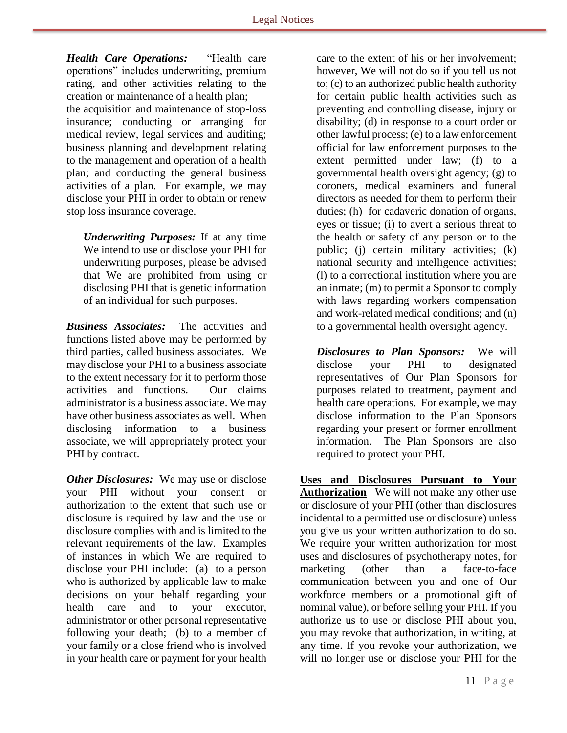*Health Care Operations:* "Health care operations" includes underwriting, premium rating, and other activities relating to the creation or maintenance of a health plan; the acquisition and maintenance of stop-loss insurance; conducting or arranging for medical review, legal services and auditing; business planning and development relating to the management and operation of a health plan; and conducting the general business activities of a plan. For example, we may disclose your PHI in order to obtain or renew stop loss insurance coverage.

*Underwriting Purposes:* If at any time We intend to use or disclose your PHI for underwriting purposes, please be advised that We are prohibited from using or disclosing PHI that is genetic information of an individual for such purposes.

*Business Associates:* The activities and functions listed above may be performed by third parties, called business associates. We may disclose your PHI to a business associate to the extent necessary for it to perform those activities and functions. Our claims administrator is a business associate. We may have other business associates as well. When disclosing information to a business associate, we will appropriately protect your PHI by contract.

*Other Disclosures:* We may use or disclose your PHI without your consent or authorization to the extent that such use or disclosure is required by law and the use or disclosure complies with and is limited to the relevant requirements of the law. Examples of instances in which We are required to disclose your PHI include: (a) to a person who is authorized by applicable law to make decisions on your behalf regarding your health care and to your executor, administrator or other personal representative following your death; (b) to a member of your family or a close friend who is involved in your health care or payment for your health

care to the extent of his or her involvement; however, We will not do so if you tell us not to; (c) to an authorized public health authority for certain public health activities such as preventing and controlling disease, injury or disability; (d) in response to a court order or other lawful process; (e) to a law enforcement official for law enforcement purposes to the extent permitted under law; (f) to a governmental health oversight agency; (g) to coroners, medical examiners and funeral directors as needed for them to perform their duties; (h) for cadaveric donation of organs, eyes or tissue; (i) to avert a serious threat to the health or safety of any person or to the public; (j) certain military activities; (k) national security and intelligence activities; (l) to a correctional institution where you are an inmate; (m) to permit a Sponsor to comply with laws regarding workers compensation and work-related medical conditions; and (n) to a governmental health oversight agency.

*Disclosures to Plan Sponsors:* We will disclose your PHI to designated representatives of Our Plan Sponsors for purposes related to treatment, payment and health care operations. For example, we may disclose information to the Plan Sponsors regarding your present or former enrollment information. The Plan Sponsors are also required to protect your PHI.

**Uses and Disclosures Pursuant to Your Authorization** We will not make any other use or disclosure of your PHI (other than disclosures incidental to a permitted use or disclosure) unless you give us your written authorization to do so. We require your written authorization for most uses and disclosures of psychotherapy notes, for marketing (other than a face-to-face communication between you and one of Our workforce members or a promotional gift of nominal value), or before selling your PHI. If you authorize us to use or disclose PHI about you, you may revoke that authorization, in writing, at any time. If you revoke your authorization, we will no longer use or disclose your PHI for the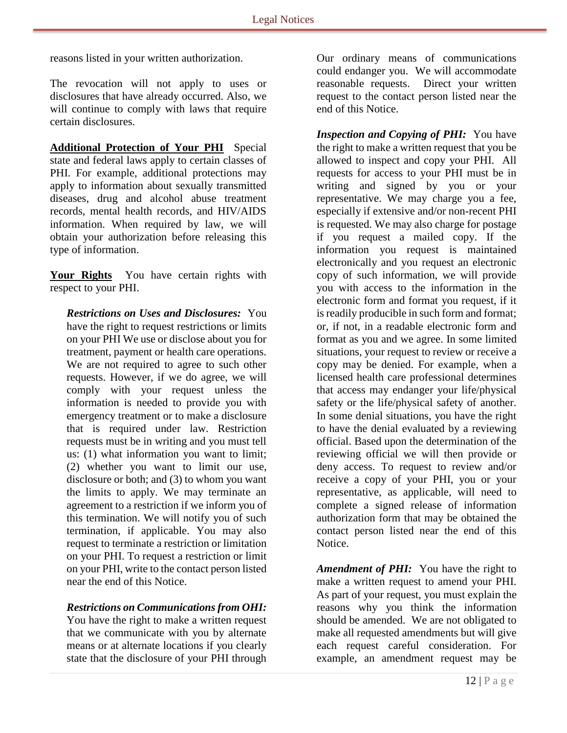reasons listed in your written authorization.

The revocation will not apply to uses or disclosures that have already occurred. Also, we will continue to comply with laws that require certain disclosures.

**Additional Protection of Your PHI** Special state and federal laws apply to certain classes of PHI. For example, additional protections may apply to information about sexually transmitted diseases, drug and alcohol abuse treatment records, mental health records, and HIV/AIDS information. When required by law, we will obtain your authorization before releasing this type of information.

Your Rights You have certain rights with respect to your PHI.

*Restrictions on Uses and Disclosures:* You have the right to request restrictions or limits on your PHI We use or disclose about you for treatment, payment or health care operations. We are not required to agree to such other requests. However, if we do agree, we will comply with your request unless the information is needed to provide you with emergency treatment or to make a disclosure that is required under law. Restriction requests must be in writing and you must tell us: (1) what information you want to limit; (2) whether you want to limit our use, disclosure or both; and (3) to whom you want the limits to apply. We may terminate an agreement to a restriction if we inform you of this termination. We will notify you of such termination, if applicable. You may also request to terminate a restriction or limitation on your PHI. To request a restriction or limit on your PHI, write to the contact person listed near the end of this Notice.

## *Restrictions on Communications from OHI:*

You have the right to make a written request that we communicate with you by alternate means or at alternate locations if you clearly state that the disclosure of your PHI through

Our ordinary means of communications could endanger you. We will accommodate reasonable requests. Direct your written request to the contact person listed near the end of this Notice.

*Inspection and Copying of PHI:* You have the right to make a written request that you be allowed to inspect and copy your PHI. All requests for access to your PHI must be in writing and signed by you or your representative. We may charge you a fee, especially if extensive and/or non-recent PHI is requested. We may also charge for postage if you request a mailed copy. If the information you request is maintained electronically and you request an electronic copy of such information, we will provide you with access to the information in the electronic form and format you request, if it is readily producible in such form and format; or, if not, in a readable electronic form and format as you and we agree. In some limited situations, your request to review or receive a copy may be denied. For example, when a licensed health care professional determines that access may endanger your life/physical safety or the life/physical safety of another. In some denial situations, you have the right to have the denial evaluated by a reviewing official. Based upon the determination of the reviewing official we will then provide or deny access. To request to review and/or receive a copy of your PHI, you or your representative, as applicable, will need to complete a signed release of information authorization form that may be obtained the contact person listed near the end of this Notice.

*Amendment of PHI:* You have the right to make a written request to amend your PHI. As part of your request, you must explain the reasons why you think the information should be amended. We are not obligated to make all requested amendments but will give each request careful consideration. For example, an amendment request may be